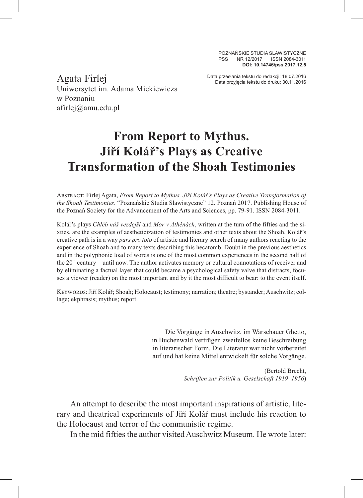POZNAŃSKIE STUDIA SLAWISTYCZNE PSS NR 12/2017 ISSN 2084-3011 **DOI: 10.14746/pss.2017.12.5**

Data przesłania tekstu do redakcji: 18.07.2016 Agata Firlej Data przyjęcia tekstu do druku: 30.11.2016 Uniwersytet im. Adama Mickiewicza w Poznaniu afirlej@amu.edu.pl

## **From Report to Mythus. Jiří Kolář's Plays as Creative Transformation of the Shoah Testimonies**

Abstract: Firlej Agata, *From Report to Mythus. Jiří Kolář's Plays as Creative Transformation of the Shoah Testimonies*. "Poznańskie Studia Slawistyczne" 12. Poznań 2017. Publishing House of the Poznań Society for the Advancement of the Arts and Sciences, pp. 79-91. ISSN 2084-3011.

Kolář's plays *Chléb náš vezdejší* and *Mor v Athénách*, written at the turn of the fifties and the sixties, are the examples of aestheticization of testimonies and other texts about the Shoah. Kolář's creative path is in a way *pars pro toto* of artistic and literary search of many authors reacting to the experience of Shoah and to many texts describing this hecatomb. Doubt in the previous aesthetics and in the polyphonic load of words is one of the most common experiences in the second half of the  $20<sup>th</sup>$  century – until now. The author activates memory or cultural connotations of receiver and by eliminating a factual layer that could became a psychological safety valve that distracts, focuses a viewer (reader) on the most important and by it the most difficult to bear: to the event itself.

Keywords:Jiří Kolář; Shoah; Holocaust; testimony; narration; theatre; bystander;Auschwitz; collage; ekphrasis; mythus; report

> Die Vorgänge in Auschwitz, im Warschauer Ghetto, in Buchenwald vertrügen zweifellos keine Beschreibung in literarischer Form. Die Literatur war nicht vorbereitet auf und hat keine Mittel entwickelt für solche Vorgänge.

> > (Bertold Brecht, *Schriften zur Politik u. Geselschaft 1919–1956*)

An attempt to describe the most important inspirations of artistic, literary and theatrical experiments of Jíří Kolář must include his reaction to the Holocaust and terror of the communistic regime.

In the mid fifties the author visited Auschwitz Museum. He wrote later: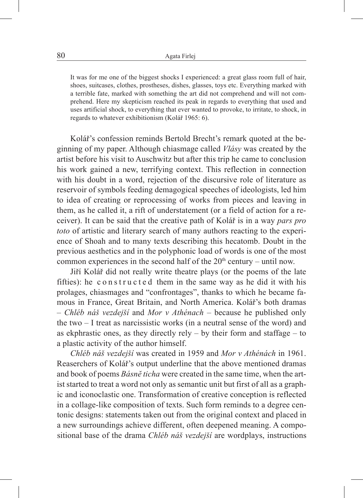It was for me one of the biggest shocks I experienced: a great glass room full of hair, shoes, suitcases, clothes, prostheses, dishes, glasses, toys etc. Everything marked with a terrible fate, marked with something the art did not comprehend and will not comprehend. Here my skepticism reached its peak in regards to everything that used and uses artificial shock, to everything that ever wanted to provoke, to irritate, to shock, in regards to whatever exhibitionism (Kolář 1965: 6).

Kolář's confession reminds Bertold Brecht's remark quoted at the beginning of my paper. Although chiasmage called *Vlásy* was created by the artist before his visit to Auschwitz but after this trip he came to conclusion his work gained a new, terrifying context. This reflection in connection with his doubt in a word, rejection of the discursive role of literature as reservoir of symbols feeding demagogical speeches of ideologists, led him to idea of creating or reprocessing of works from pieces and leaving in them, as he called it, a rift of understatement (or a field of action for a receiver). It can be said that the creative path of Kolář is in a way *pars pro toto* of artistic and literary search of many authors reacting to the experience of Shoah and to many texts describing this hecatomb. Doubt in the previous aesthetics and in the polyphonic load of words is one of the most common experiences in the second half of the  $20<sup>th</sup>$  century – until now.

Jiří Kolář did not really write theatre plays (or the poems of the late fifties): he constructed them in the same way as he did it with his prolages, chiasmages and "confrontages", thanks to which he became famous in France, Great Britain, and North America. Kolář's both dramas – *Chléb náš vezdejší* and *Mor v Athénach –* because he published only the two – I treat as narcissistic works (in a neutral sense of the word) and as ekphrastic ones, as they directly rely – by their form and staffage – to a plastic activity of the author himself.

*Chléb náš vezdejší* was created in 1959 and *Mor v Athénách* in 1961. Reaserchers of Kolář's output underline that the above mentioned dramas and book of poems *Básnĕ ticha* were created in the same time, when the artist started to treat a word not only as semantic unit but first of all as a graphic and iconoclastic one. Transformation of creative conception is reflected in a collage-like composition of texts. Such form reminds to a degree centonic designs: statements taken out from the original context and placed in a new surroundings achieve different, often deepened meaning. A compositional base of the drama *Chléb náš vezdejší* are wordplays, instructions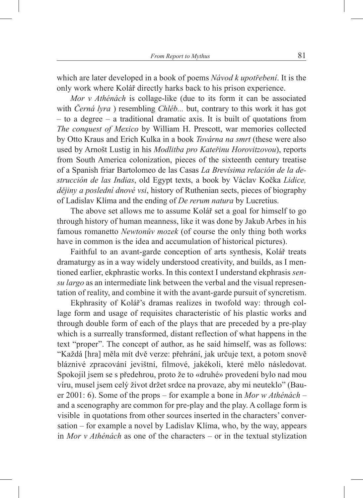which are later developed in a book of poems *Návod k upotřebení*. It is the only work where Kolář directly harks back to his prison experience.

*Mor v Athénách* is collage-like (due to its form it can be associated with *Černá lyra* ) resembling *Chléb...* but, contrary to this work it has got – to a degree – a traditional dramatic axis. It is built of quotations from *The conquest of Mexico* by William H. Prescott, war memories collected by Otto Kraus and Erich Kulka in a book *Továrna na smrt* (these were also used by Arnošt Lustig in his *Modlitba pro Kateřinu Horovitzovou*), reports from South America colonization, pieces of the sixteenth century treatise of a Spanish friar Bartolomeo de las Casas *La Brevísima relación de la destrucción de las Indias*, old Egypt texts, a book by Václav Kočka *Lidice, dějiny a poslední dnové vsi*, history of Ruthenian sects, pieces of biography of Ladislav Klíma and the ending of *De rerum natura* by Lucretius.

The above set allows me to assume Kolář set a goal for himself to go through history of human meanness, like it was done by Jakub Arbes in his famous romanetto *Newtonův mozek* (of course the only thing both works have in common is the idea and accumulation of historical pictures).

Faithful to an avant-garde conception of arts synthesis, Kolář treats dramaturgy as in a way widely understood creativity, and builds, as I mentioned earlier, ekphrastic works. In this context I understand ekphrasis *sensu largo* as an intermediate link between the verbal and the visual representation of reality, and combine it with the avant-garde pursuit of syncretism.

Ekphrasity of Kolář's dramas realizes in twofold way: through collage form and usage of requisites characteristic of his plastic works and through double form of each of the plays that are preceded by a pre-play which is a surreally transformed, distant reflection of what happens in the text "proper". The concept of author, as he said himself, was as follows: "Každá [hra] měla mít dvě verze: přehrání, jak určuje text, a potom snově bláznivé zpracování jevištní, filmové, jakékoli, které mělo následovat. Spokojil jsem se s předehrou, proto že to «druhé» provedení bylo nad mou víru, musel jsem celý život držet srdce na provaze, aby mi neuteklo" (Bauer 2001: 6). Some of the props – for example a bone in *Mor w Athénách* – and a scenography are common for pre-play and the play. A collage form is visible in quotations from other sources inserted in the characters' conversation – for example a novel by Ladislav Klíma, who, by the way, appears in *Mor v Athénách* as one of the characters – or in the textual stylization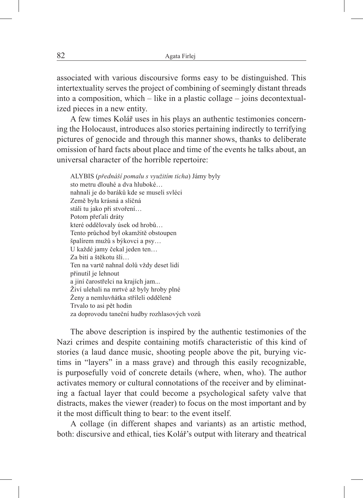associated with various discoursive forms easy to be distinguished. This intertextuality serves the project of combining of seemingly distant threads into a composition, which – like in a plastic collage – joins decontextualized pieces in a new entity.

A few times Kolář uses in his plays an authentic testimonies concerning the Holocaust, introduces also stories pertaining indirectly to terrifying pictures of genocide and through this manner shows, thanks to deliberate omission of hard facts about place and time of the events he talks about, an universal character of the horrible repertoire:

ALYBIS (*přednáší pomalu s využitím ticha*) Jámy byly sto metru dlouhé a dva hluboké… nahnali je do baráků kde se museli svléci Země była krásná a sličná stáli tu jako při stvoření… Potom přeťali dráty které oddělovaly úsek od hrobů… Tento průchod był okamžitě obstoupen špalírem mužů s býkovci a psy… U každé jamy čekal jeden ten… Za bití a štěkotu šli… Ten na vartě nahnal dolů vždy deset lidí přinutil je lehnout a jiní čarostřelci na krajích jam... Živí ulehali na mrtvé až byly hroby plné Ženy a nemluvňátka stříleli odděleně Trvalo to asi pět hodin za doprovodu taneční hudby rozhlasových vozů

The above description is inspired by the authentic testimonies of the Nazi crimes and despite containing motifs characteristic of this kind of stories (a laud dance music, shooting people above the pit, burying victims in "layers" in a mass grave) and through this easily recognizable, is purposefully void of concrete details (where, when, who). The author activates memory or cultural connotations of the receiver and by eliminating a factual layer that could become a psychological safety valve that distracts, makes the viewer (reader) to focus on the most important and by it the most difficult thing to bear: to the event itself.

A collage (in different shapes and variants) as an artistic method, both: discursive and ethical, ties Kolář's output with literary and theatrical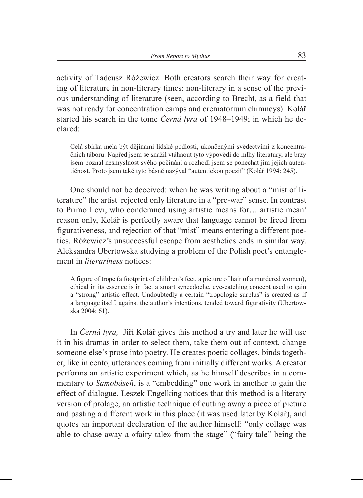activity of Tadeusz Różewicz. Both creators search their way for creating of literature in non-literary times: non-literary in a sense of the previous understanding of literature (seen, according to Brecht, as a field that was not ready for concentration camps and crematorium chimneys). Kolář started his search in the tome *Černá lyra* of 1948–1949; in which he declared:

Celá sbírka měla být dějinami lidské podlosti, ukončenými svědectvími z koncentračních táborů. Napřed jsem se snažil vtáhnout tyto výpovědi do mlhy literatury, ale brzy jsem poznal nesmyslnost svého počínání a rozhodl jsem se ponechat jim jejich autentičnost. Proto jsem také tyto básně nazýval "autentickou poezií" (Kolář 1994: 245).

One should not be deceived: when he was writing about a "mist of literature" the artist rejected only literature in a "pre-war" sense. In contrast to Primo Levi, who condemned using artistic means for… artistic mean' reason only, Kolář is perfectly aware that language cannot be freed from figurativeness, and rejection of that "mist" means entering a different poetics. Różewicz's unsuccessful escape from aesthetics ends in similar way. Aleksandra Ubertowska studying a problem of the Polish poet's entanglement in *literariness* notices:

A figure of trope (a footprint of children's feet, a picture of hair of a murdered women), ethical in its essence is in fact a smart synecdoche, eye-catching concept used to gain a "strong" artistic effect. Undoubtedly a certain "tropologic surplus" is created as if a language itself, against the author's intentions, tended toward figurativity (Ubertowska 2004: 61).

In *Černá lyra,* Jiří Kolář gives this method a try and later he will use it in his dramas in order to select them, take them out of context, change someone else's prose into poetry. He creates poetic collages, binds together, like in cento, utterances coming from initially different works. A creator performs an artistic experiment which, as he himself describes in a commentary to *Samobáseň*, is a "embedding" one work in another to gain the effect of dialogue. Leszek Engelking notices that this method is a literary version of prolage, an artistic technique of cutting away a piece of picture and pasting a different work in this place (it was used later by Kolář), and quotes an important declaration of the author himself: "only collage was able to chase away a «fairy tale» from the stage" ("fairy tale" being the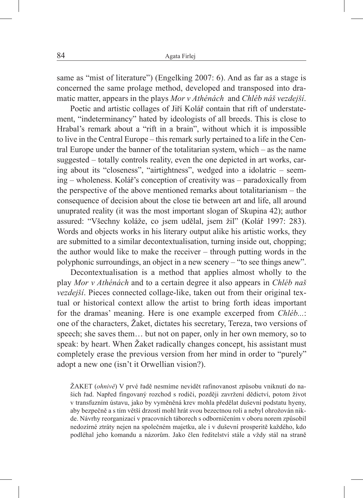same as "mist of literature") (Engelking 2007: 6). And as far as a stage is concerned the same prolage method, developed and transposed into dramatic matter, appears in the plays *Mor v Athénách* and *Chléb náš vezdejší*.

Poetic and artistic collages of Jiří Kolář contain that rift of understatement, "indeterminancy" hated by ideologists of all breeds. This is close to Hrabal's remark about a "rift in a brain", without which it is impossible to live in the Central Europe – this remark surly pertained to a life in the Central Europe under the banner of the totalitarian system, which – as the name suggested – totally controls reality, even the one depicted in art works, caring about its "closeness", "airtightness", wedged into a idolatric – seeming – wholeness. Kolář's conception of creativity was – paradoxically from the perspective of the above mentioned remarks about totalitarianism – the consequence of decision about the close tie between art and life, all around unuprated reality (it was the most important slogan of Skupina 42); author assured: "Všechny koláže, co jsem udělal, jsem žil" (Kolář 1997: 283). Words and objects works in his literary output alike his artistic works, they are submitted to a similar decontextualisation, turning inside out, chopping; the author would like to make the receiver – through putting words in the polyphonic surroundings, an object in a new scenery – "to see things anew".

Decontextualisation is a method that applies almost wholly to the play *Mor v Athénách* and to a certain degree it also appears in *Chléb naš vezdejší*. Pieces connected collage-like, taken out from their original textual or historical context allow the artist to bring forth ideas important for the dramas' meaning. Here is one example excerped from *Chléb...*: one of the characters, Žaket, dictates his secretary, Tereza, two versions of speech; she saves them… but not on paper, only in her own memory, so to speak: by heart. When Žaket radically changes concept, his assistant must completely erase the previous version from her mind in order to "purely" adopt a new one (isn't it Orwellian vision?).

ŽAKET (*ohnivě*) V prvé řadě nesmíme nevidět rafinovanost způsobu vniknutí do našich řad. Napřed fingovaný rozchod s rodiči, později zavržení dědictví, potom život v transfuzním ústavu, jako by vyměněná krev mohla předělat duševní podstatu hyeny, aby bezpečně a s tím větší drzostí mohl hrát svou bezectnou roli a nebyl ohrožován nikde. Návrhy reorganizací v pracovních táborech s odborničením v oboru norem způsobil nedozírné ztráty nejen na společném majetku, ale i v duševní prosperitě každého, kdo podléhal jeho komandu a názorům. Jako člen ředitelství stále a vždy stál na straně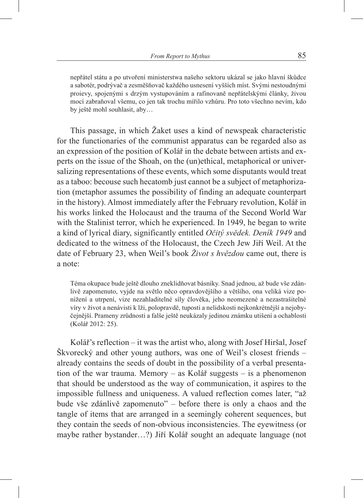nepřátel státu a po utvoření ministerstwa našeho sektoru ukázal se jako hlavní škůdce a sabotér, podrývač a zesměšňovač každého usnesení vyšších míst. Svými nestoudnými proievy, spojenými s drzým vystupováním a rafinovaně nepřátelskými články, živou mocí zabraňoval všemu, co jen tak trochu mířilo vzhůru. Pro toto všechno nevím, kdo by ještě mohl souhlasit, aby…

This passage, in which Žaket uses a kind of newspeak characteristic for the functionaries of the communist apparatus can be regarded also as an expression of the position of Kolář in the debate between artists and experts on the issue of the Shoah, on the (un)ethical, metaphorical or universalizing representations of these events, which some disputants would treat as a taboo: becouse such hecatomb just cannot be a subject of metaphorization (metaphor assumes the possibility of finding an adequate counterpart in the history). Almost immediately after the February revolution, Kolář in his works linked the Holocaust and the trauma of the Second World War with the Stalinist terror, which he experienced. In 1949, he began to write a kind of lyrical diary, significantly entitled *Očitý svědek. Deník 1949* and dedicated to the witness of the Holocaust, the Czech Jew Jiří Weil. At the date of February 23, when Weil's book *Život s hvězdou* came out, there is a note:

Téma okupace bude ještě dlouho zneklidňovat básníky. Snad jednou, až bude vše zdánlivě zapomenuto, vyjde na světlo něco opravdovějšího a většího, ona veliká vize ponížení a utrpení, vize nezahladitelné síly člověka, jeho neomezené a nezastrašitelné víry v život a nenávisti k lži, polopravdě, tuposti a nelidskosti nejkonkrétnější a nejobyčejnější. Prameny zrůdnosti a falše ještě neukázaly jedinou známku utišení a ochablosti (Kolář 2012: 25).

Kolář's reflection – it was the artist who, along with Josef Hiršal, Josef Škvorecký and other young authors, was one of Weil's closest friends – already contains the seeds of doubt in the possibility of a verbal presentation of the war trauma. Memory – as Kolář suggests – is a phenomenon that should be understood as the way of communication, it aspires to the impossible fullness and uniqueness. A valued reflection comes later, "až bude vše zdánlivě zapomenuto" – before there is only a chaos and the tangle of items that are arranged in a seemingly coherent sequences, but they contain the seeds of non-obvious inconsistencies. The eyewitness (or maybe rather bystander…?) Jiří Kolář sought an adequate language (not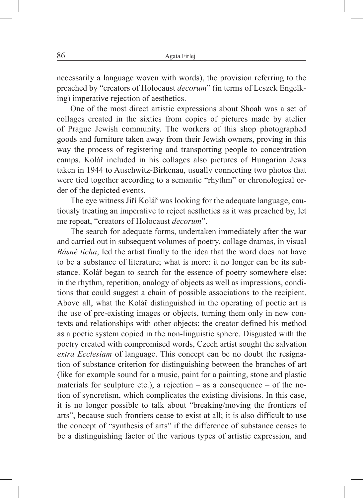necessarily a language woven with words), the provision referring to the preached by "creators of Holocaust *decorum*" (in terms of Leszek Engelking) imperative rejection of aesthetics.

One of the most direct artistic expressions about Shoah was a set of collages created in the sixties from copies of pictures made by atelier of Prague Jewish community. The workers of this shop photographed goods and furniture taken away from their Jewish owners, proving in this way the process of registering and transporting people to concentration camps. Kolář included in his collages also pictures of Hungarian Jews taken in 1944 to Auschwitz-Birkenau, usually connecting two photos that were tied together according to a semantic "rhythm" or chronological order of the depicted events.

The eye witness Jiří Kolář was looking for the adequate language, cautiously treating an imperative to reject aesthetics as it was preached by, let me repeat, "creators of Holocaust *decorum*".

The search for adequate forms, undertaken immediately after the war and carried out in subsequent volumes of poetry, collage dramas, in visual *Básnĕ ticha*, led the artist finally to the idea that the word does not have to be a substance of literature; what is more: it no longer can be its substance. Kolář began to search for the essence of poetry somewhere else: in the rhythm, repetition, analogy of objects as well as impressions, conditions that could suggest a chain of possible associations to the recipient. Above all, what the Kolář distinguished in the operating of poetic art is the use of pre-existing images or objects, turning them only in new contexts and relationships with other objects: the creator defined his method as a poetic system copied in the non-linguistic sphere. Disgusted with the poetry created with compromised words, Czech artist sought the salvation *extra Ecclesiam* of language. This concept can be no doubt the resignation of substance criterion for distinguishing between the branches of art (like for example sound for a music, paint for a painting, stone and plastic materials for sculpture etc.), a rejection – as a consequence – of the notion of syncretism, which complicates the existing divisions. In this case, it is no longer possible to talk about "breaking/moving the frontiers of arts", because such frontiers cease to exist at all; it is also difficult to use the concept of "synthesis of arts" if the difference of substance ceases to be a distinguishing factor of the various types of artistic expression, and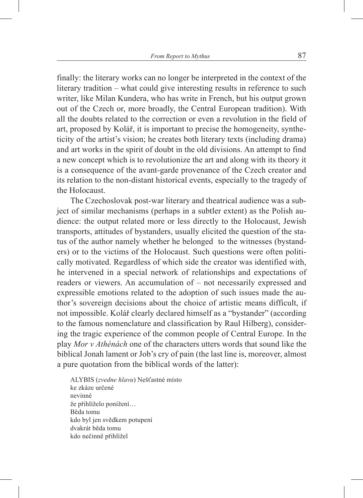finally: the literary works can no longer be interpreted in the context of the literary tradition – what could give interesting results in reference to such writer, like Milan Kundera, who has write in French, but his output grown out of the Czech or, more broadly, the Central European tradition). With all the doubts related to the correction or even a revolution in the field of art, proposed by Kolář, it is important to precise the homogeneity, syntheticity of the artist's vision; he creates both literary texts (including drama) and art works in the spirit of doubt in the old divisions. An attempt to find a new concept which is to revolutionize the art and along with its theory it is a consequence of the avant-garde provenance of the Czech creator and its relation to the non-distant historical events, especially to the tragedy of the Holocaust.

The Czechoslovak post-war literary and theatrical audience was a subject of similar mechanisms (perhaps in a subtler extent) as the Polish audience: the output related more or less directly to the Holocaust, Jewish transports, attitudes of bystanders, usually elicited the question of the status of the author namely whether he belonged to the witnesses (bystanders) or to the victims of the Holocaust. Such questions were often politically motivated. Regardless of which side the creator was identified with, he intervened in a special network of relationships and expectations of readers or viewers. An accumulation of – not necessarily expressed and expressible emotions related to the adoption of such issues made the author's sovereign decisions about the choice of artistic means difficult, if not impossible. Kolář clearly declared himself as a "bystander" (according to the famous nomenclature and classification by Raul Hilberg), considering the tragic experience of the common people of Central Europe. In the play *Mor v Athénách* one of the characters utters words that sound like the biblical Jonah lament or Job's cry of pain (the last line is, moreover, almost a pure quotation from the biblical words of the latter):

ALYBIS (*zvedne hlavu*) Nešťastné místo ke zkáze určené nevinné že přihlíželo ponížení… Běda tomu kdo byl jen svědkem potupení dvakrát běda tomu kdo nečinně přihlížel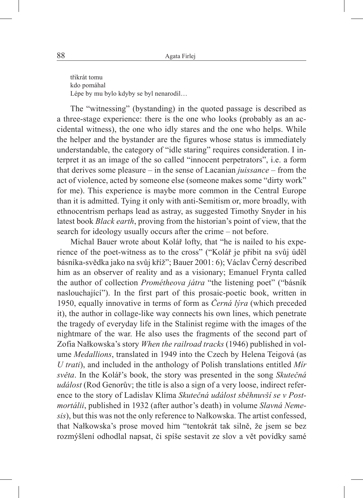třikrát tomu kdo pomáhal Lépe by mu bylo kdyby se byl nenarodil…

The "witnessing" (bystanding) in the quoted passage is described as a three-stage experience: there is the one who looks (probably as an accidental witness), the one who idly stares and the one who helps. While the helper and the bystander are the figures whose status is immediately understandable, the category of "idle staring" requires consideration. I interpret it as an image of the so called "innocent perpetrators", i.e. a form that derives some pleasure – in the sense of Lacanian *juissance* – from the act of violence, acted by someone else (someone makes some "dirty work" for me). This experience is maybe more common in the Central Europe than it is admitted. Tying it only with anti-Semitism or, more broadly, with ethnocentrism perhaps lead as astray, as suggested Timothy Snyder in his latest book *Black earth*, proving from the historian's point of view, that the search for ideology usually occurs after the crime – not before.

Michal Bauer wrote about Kolář lofty, that "he is nailed to his experience of the poet-witness as to the cross" ("Kolář je přibit na svůj údĕl básníka-svědka jako na svůj kříž"; Bauer 2001: 6); Václav Černý described him as an observer of reality and as a visionary; Emanuel Frynta called the author of collection *Prométheova játra* "the listening poet" ("básník naslouchající"). In the first part of this prosaic-poetic book, written in 1950, equally innovative in terms of form as *Černá lýra* (which preceded it), the author in collage-like way connects his own lines, which penetrate the tragedy of everyday life in the Stalinist regime with the images of the nightmare of the war. He also uses the fragments of the second part of Zofia Nałkowska's story *When the railroad tracks* (1946) published in volume *Medallions*, translated in 1949 into the Czech by Helena Teigová (as *U trati*), and included in the anthology of Polish translations entitled *Mír světa*. In the Kolář's book, the story was presented in the song *Skutečná událost* (Rod Genorův; the title is also a sign of a very loose, indirect reference to the story of Ladislav Klíma *Skutečná událost sběhnuvší se v Postmortálii*, published in 1932 (after author's death) in volume *Slavná Nemesis*), but this was not the only reference to Nałkowska. The artist confessed, that Nałkowska's prose moved him "tentokrát tak silně, že jsem se bez rozmýšlení odhodlal napsat, či spíše sestavit ze slov a vět povídky samé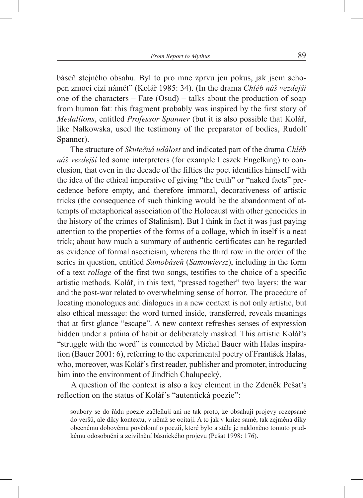báseň stejného obsahu. Byl to pro mne zprvu jen pokus, jak jsem schopen zmoci cizí námět" (Kolář 1985: 34). (In the drama *Chléb náš vezdejší* one of the characters – Fate (Osud) – talks about the production of soap from human fat: this fragment probably was inspired by the first story of *Medallions*, entitled *Professor Spanner* (but it is also possible that Kolář, like Nałkowska, used the testimony of the preparator of bodies, Rudolf Spanner).

The structure of *Skutečná událost* and indicated part of the drama *Chléb náš vezdejší* led some interpreters (for example Leszek Engelking) to conclusion, that even in the decade of the fifties the poet identifies himself with the idea of the ethical imperative of giving "the truth" or "naked facts" precedence before empty, and therefore immoral, decorativeness of artistic tricks (the consequence of such thinking would be the abandonment of attempts of metaphorical association of the Holocaust with other genocides in the history of the crimes of Stalinism). But I think in fact it was just paying attention to the properties of the forms of a collage, which in itself is a neat trick; about how much a summary of authentic certificates can be regarded as evidence of formal asceticism, whereas the third row in the order of the series in question, entitled *Samobáseň* (*Samowiersz*), including in the form of a text *rollage* of the first two songs, testifies to the choice of a specific artistic methods. Kolář, in this text, "pressed together" two layers: the war and the post-war related to overwhelming sense of horror. The procedure of locating monologues and dialogues in a new context is not only artistic, but also ethical message: the word turned inside, transferred, reveals meanings that at first glance "escape". A new context refreshes senses of expression hidden under a patina of habit or deliberately masked. This artistic Kolář's "struggle with the word" is connected by Michal Bauer with Halas inspiration (Bauer 2001: 6), referring to the experimental poetry of František Halas, who, moreover, was Kolář's first reader, publisher and promoter, introducing him into the environment of Jindřich Chalupecký.

A question of the context is also a key element in the Zdenĕk Pešat's reflection on the status of Kolář's "autentická poezie":

soubory se do řádu poezie začleňují ani ne tak proto, že obsahují projevy rozepsané do veršů, ale díky kontextu, v němž se ocitají. A to jak v knize samé, tak zejména díky obecnému dobovému povědomí o poezii, které bylo a stále je nakloněno tomuto prudkému odosobnění a zcivilnění básnického projevu (Pešat 1998: 176).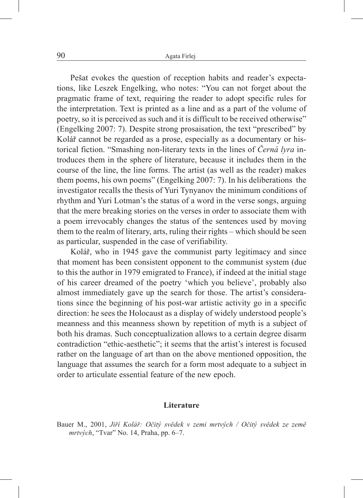Pešat evokes the question of reception habits and reader's expectations, like Leszek Engelking, who notes: "You can not forget about the pragmatic frame of text, requiring the reader to adopt specific rules for the interpretation. Text is printed as a line and as a part of the volume of poetry, so it is perceived as such and it is difficult to be received otherwise" (Engelking 2007: 7). Despite strong prosaisation, the text "prescribed" by Kolář cannot be regarded as a prose, especially as a documentary or historical fiction. "Smashing non-literary texts in the lines of *Černá lyra* introduces them in the sphere of literature, because it includes them in the course of the line, the line forms. The artist (as well as the reader) makes them poems, his own poems" (Engelking 2007: 7). In his deliberations the investigator recalls the thesis of Yuri Tynyanov the minimum conditions of rhythm and Yuri Lotman's the status of a word in the verse songs, arguing that the mere breaking stories on the verses in order to associate them with a poem irrevocably changes the status of the sentences used by moving them to the realm of literary, arts, ruling their rights – which should be seen as particular, suspended in the case of verifiability.

Kolář, who in 1945 gave the communist party legitimacy and since that moment has been consistent opponent to the communist system (due to this the author in 1979 emigrated to France), if indeed at the initial stage of his career dreamed of the poetry 'which you believe', probably also almost immediately gave up the search for those. The artist's considerations since the beginning of his post-war artistic activity go in a specific direction: he sees the Holocaust as a display of widely understood people's meanness and this meanness shown by repetition of myth is a subject of both his dramas. Such conceptualization allows to a certain degree disarm contradiction "ethic-aesthetic"; it seems that the artist's interest is focused rather on the language of art than on the above mentioned opposition, the language that assumes the search for a form most adequate to a subject in order to articulate essential feature of the new epoch.

## **Literature**

Bauer M., 2001, *Jiří Kolář: Očitý svědek v zemi mrtvých / Očitý svědek ze země mrtvých*, "Tvar" No. 14, Praha, pp. 6–7.